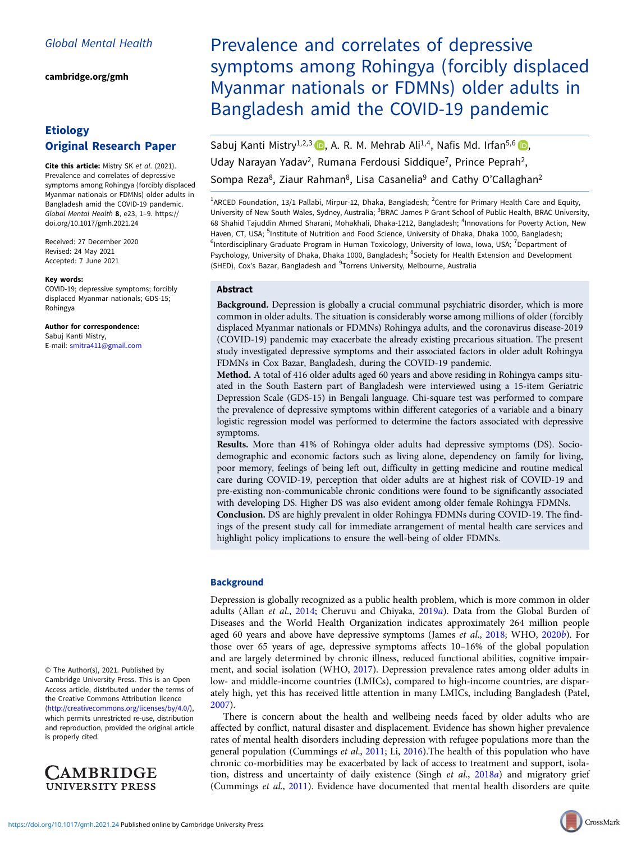[cambridge.org/gmh](https://www.cambridge.org/gmh)

# Etiology Original Research Paper

Cite this article: Mistry SK et al. (2021). Prevalence and correlates of depressive symptoms among Rohingya (forcibly displaced Myanmar nationals or FDMNs) older adults in Bangladesh amid the COVID-19 pandemic. Global Mental Health 8, e23, 1–9. [https://](https://doi.org/10.1017/gmh.2021.24) [doi.org/10.1017/gmh.2021.24](https://doi.org/10.1017/gmh.2021.24)

Received: 27 December 2020 Revised: 24 May 2021 Accepted: 7 June 2021

#### Key words:

COVID-19; depressive symptoms; forcibly displaced Myanmar nationals; GDS-15; Rohingya

Author for correspondence: Sabuj Kanti Mistry, E-mail: [smitra411@gmail.com](mailto:smitra411@gmail.com)

© The Author(s), 2021. Published by Cambridge University Press. This is an Open Access article, distributed under the terms of the Creative Commons Attribution licence ([http://creativecommons.org/licenses/by/4.0/\)](http://creativecommons.org/licenses/by/4.0/), which permits unrestricted re-use, distribution and reproduction, provided the original article is properly cited.



Prevalence and correlates of depressive symptoms among Rohingya (forcibly displaced Myanmar nationals or FDMNs) older adults in Bangladesh amid the COVID-19 pandemic

Sabuj Kanti Mistry<sup>1[,](https://orcid.org/0000-0002-2089-4983)2,3</sup> a. R. M. Mehrab Ali<sup>1,4</sup>, Nafis Md. Irfan<sup>5,6</sup> a. Uday Narayan Yadav<sup>2</sup>, Rumana Ferdousi Siddique<sup>7</sup>, Prince Peprah<sup>2</sup>, Sompa Reza<sup>8</sup>, Ziaur Rahman<sup>8</sup>, Lisa Casanelia<sup>9</sup> and Cathy O'Callaghan<sup>2</sup>

<sup>1</sup>ARCED Foundation, 13/1 Pallabi, Mirpur-12, Dhaka, Bangladesh; <sup>2</sup>Centre for Primary Health Care and Equity, University of New South Wales, Sydney, Australia; <sup>3</sup>BRAC James P Grant School of Public Health, BRAC University, 68 Shahid Tajuddin Ahmed Sharani, Mohakhali, Dhaka-1212, Bangladesh; <sup>4</sup>Innovations for Poverty Action, New Haven, CT, USA; <sup>5</sup>Institute of Nutrition and Food Science, University of Dhaka, Dhaka 1000, Bangladesh; <sup>6</sup>Interdisciplinary Graduate Program in Human Toxicology, University of Iowa, Iowa, USA; <sup>7</sup>Department of Psychology, University of Dhaka, Dhaka 1000, Bangladesh; <sup>8</sup>Society for Health Extension and Development (SHED), Cox's Bazar, Bangladesh and <sup>9</sup>Torrens University, Melbourne, Australia

## Abstract

Background. Depression is globally a crucial communal psychiatric disorder, which is more common in older adults. The situation is considerably worse among millions of older (forcibly displaced Myanmar nationals or FDMNs) Rohingya adults, and the coronavirus disease-2019 (COVID-19) pandemic may exacerbate the already existing precarious situation. The present study investigated depressive symptoms and their associated factors in older adult Rohingya FDMNs in Cox Bazar, Bangladesh, during the COVID-19 pandemic.

Method. A total of 416 older adults aged 60 years and above residing in Rohingya camps situated in the South Eastern part of Bangladesh were interviewed using a 15-item Geriatric Depression Scale (GDS-15) in Bengali language. Chi-square test was performed to compare the prevalence of depressive symptoms within different categories of a variable and a binary logistic regression model was performed to determine the factors associated with depressive symptoms.

Results. More than 41% of Rohingya older adults had depressive symptoms (DS). Sociodemographic and economic factors such as living alone, dependency on family for living, poor memory, feelings of being left out, difficulty in getting medicine and routine medical care during COVID-19, perception that older adults are at highest risk of COVID-19 and pre-existing non-communicable chronic conditions were found to be significantly associated with developing DS. Higher DS was also evident among older female Rohingya FDMNs.

Conclusion. DS are highly prevalent in older Rohingya FDMNs during COVID-19. The findings of the present study call for immediate arrangement of mental health care services and highlight policy implications to ensure the well-being of older FDMNs.

#### **Background**

Depression is globally recognized as a public health problem, which is more common in older adults (Allan et al., [2014;](#page-7-0) Cheruvu and Chiyaka, [2019](#page-7-0)a). Data from the Global Burden of Diseases and the World Health Organization indicates approximately 264 million people aged 60 years and above have depressive symptoms (James et al., [2018](#page-7-0); WHO, [2020](#page-8-0)b). For those over 65 years of age, depressive symptoms affects 10–16% of the global population and are largely determined by chronic illness, reduced functional abilities, cognitive impairment, and social isolation (WHO, [2017](#page-8-0)). Depression prevalence rates among older adults in low- and middle-income countries (LMICs), compared to high-income countries, are disparately high, yet this has received little attention in many LMICs, including Bangladesh (Patel, [2007\)](#page-8-0).

There is concern about the health and wellbeing needs faced by older adults who are affected by conflict, natural disaster and displacement. Evidence has shown higher prevalence rates of mental health disorders including depression with refugee populations more than the general population (Cummings et al., [2011;](#page-7-0) Li, [2016](#page-7-0)).The health of this population who have chronic co-morbidities may be exacerbated by lack of access to treatment and support, isola-tion, distress and uncertainty of daily existence (Singh et al., [2018](#page-8-0)a) and migratory grief (Cummings et al., [2011](#page-7-0)). Evidence have documented that mental health disorders are quite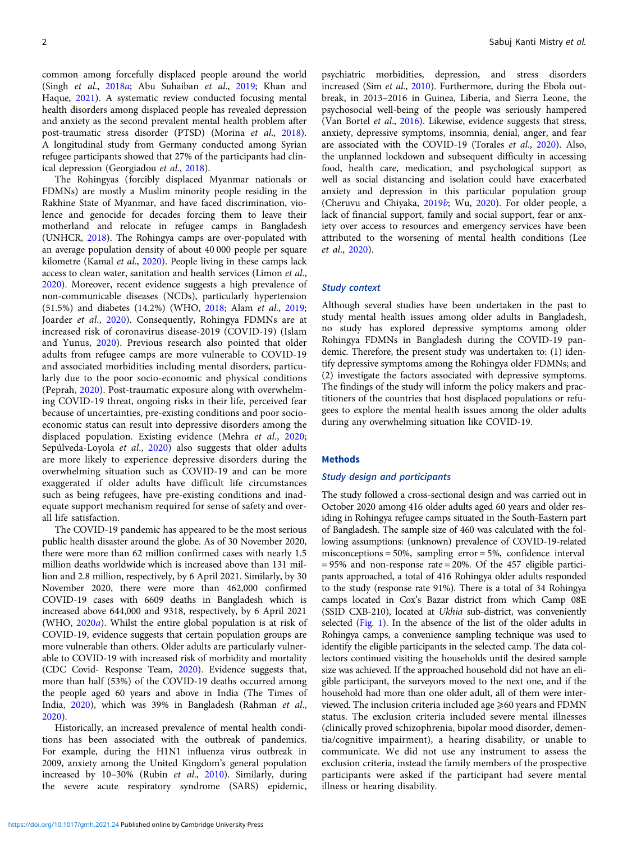common among forcefully displaced people around the world (Singh et al., [2018](#page-8-0)a; Abu Suhaiban et al., [2019;](#page-7-0) Khan and Haque, [2021\)](#page-7-0). A systematic review conducted focusing mental health disorders among displaced people has revealed depression and anxiety as the second prevalent mental health problem after post-traumatic stress disorder (PTSD) (Morina et al., [2018\)](#page-8-0). A longitudinal study from Germany conducted among Syrian refugee participants showed that 27% of the participants had clinical depression (Georgiadou et al., [2018\)](#page-7-0).

The Rohingyas (forcibly displaced Myanmar nationals or FDMNs) are mostly a Muslim minority people residing in the Rakhine State of Myanmar, and have faced discrimination, violence and genocide for decades forcing them to leave their motherland and relocate in refugee camps in Bangladesh (UNHCR, [2018](#page-8-0)). The Rohingya camps are over-populated with an average population density of about 40 000 people per square kilometre (Kamal et al., [2020](#page-7-0)). People living in these camps lack access to clean water, sanitation and health services (Limon et al., [2020\)](#page-8-0). Moreover, recent evidence suggests a high prevalence of non-communicable diseases (NCDs), particularly hypertension (51.5%) and diabetes (14.2%) (WHO, [2018](#page-8-0); Alam et al., [2019](#page-7-0); Joarder et al., [2020\)](#page-7-0). Consequently, Rohingya FDMNs are at increased risk of coronavirus disease-2019 (COVID-19) (Islam and Yunus, [2020\)](#page-7-0). Previous research also pointed that older adults from refugee camps are more vulnerable to COVID-19 and associated morbidities including mental disorders, particularly due to the poor socio-economic and physical conditions (Peprah, [2020\)](#page-8-0). Post-traumatic exposure along with overwhelming COVID-19 threat, ongoing risks in their life, perceived fear because of uncertainties, pre-existing conditions and poor socioeconomic status can result into depressive disorders among the displaced population. Existing evidence (Mehra et al., [2020](#page-8-0); Sepúlveda-Loyola et al., [2020](#page-8-0)) also suggests that older adults are more likely to experience depressive disorders during the overwhelming situation such as COVID-19 and can be more exaggerated if older adults have difficult life circumstances such as being refugees, have pre-existing conditions and inadequate support mechanism required for sense of safety and overall life satisfaction.

The COVID-19 pandemic has appeared to be the most serious public health disaster around the globe. As of 30 November 2020, there were more than 62 million confirmed cases with nearly 1.5 million deaths worldwide which is increased above than 131 million and 2.8 million, respectively, by 6 April 2021. Similarly, by 30 November 2020, there were more than 462,000 confirmed COVID-19 cases with 6609 deaths in Bangladesh which is increased above 644,000 and 9318, respectively, by 6 April 2021 (WHO, [2020](#page-8-0)a). Whilst the entire global population is at risk of COVID-19, evidence suggests that certain population groups are more vulnerable than others. Older adults are particularly vulnerable to COVID-19 with increased risk of morbidity and mortality (CDC Covid- Response Team, [2020](#page-7-0)). Evidence suggests that, more than half (53%) of the COVID-19 deaths occurred among the people aged 60 years and above in India (The Times of India, [2020](#page-8-0)), which was 39% in Bangladesh (Rahman et al., [2020\)](#page-8-0).

Historically, an increased prevalence of mental health conditions has been associated with the outbreak of pandemics. For example, during the H1N1 influenza virus outbreak in 2009, anxiety among the United Kingdom's general population increased by 10–30% (Rubin et al., [2010](#page-8-0)). Similarly, during the severe acute respiratory syndrome (SARS) epidemic, psychiatric morbidities, depression, and stress disorders increased (Sim et al., [2010\)](#page-8-0). Furthermore, during the Ebola outbreak, in 2013–2016 in Guinea, Liberia, and Sierra Leone, the psychosocial well-being of the people was seriously hampered (Van Bortel et al., [2016](#page-8-0)). Likewise, evidence suggests that stress, anxiety, depressive symptoms, insomnia, denial, anger, and fear are associated with the COVID-19 (Torales et al., [2020\)](#page-8-0). Also, the unplanned lockdown and subsequent difficulty in accessing food, health care, medication, and psychological support as well as social distancing and isolation could have exacerbated anxiety and depression in this particular population group (Cheruvu and Chiyaka, [2019](#page-7-0)b; Wu, [2020](#page-8-0)). For older people, a lack of financial support, family and social support, fear or anxiety over access to resources and emergency services have been attributed to the worsening of mental health conditions (Lee et al., [2020\)](#page-7-0).

# Study context

Although several studies have been undertaken in the past to study mental health issues among older adults in Bangladesh, no study has explored depressive symptoms among older Rohingya FDMNs in Bangladesh during the COVID-19 pandemic. Therefore, the present study was undertaken to: (1) identify depressive symptoms among the Rohingya older FDMNs; and (2) investigate the factors associated with depressive symptoms. The findings of the study will inform the policy makers and practitioners of the countries that host displaced populations or refugees to explore the mental health issues among the older adults during any overwhelming situation like COVID-19.

#### Methods

## Study design and participants

The study followed a cross-sectional design and was carried out in October 2020 among 416 older adults aged 60 years and older residing in Rohingya refugee camps situated in the South-Eastern part of Bangladesh. The sample size of 460 was calculated with the following assumptions: (unknown) prevalence of COVID-19-related misconceptions = 50%, sampling error = 5%, confidence interval  $= 95\%$  and non-response rate  $= 20\%$ . Of the 457 eligible participants approached, a total of 416 Rohingya older adults responded to the study (response rate 91%). There is a total of 34 Rohingya camps located in Cox's Bazar district from which Camp 08E (SSID CXB-210), located at Ukhia sub-district, was conveniently selected [\(Fig. 1\)](#page-2-0). In the absence of the list of the older adults in Rohingya camps, a convenience sampling technique was used to identify the eligible participants in the selected camp. The data collectors continued visiting the households until the desired sample size was achieved. If the approached household did not have an eligible participant, the surveyors moved to the next one, and if the household had more than one older adult, all of them were interviewed. The inclusion criteria included age  $\geqslant$  60 years and FDMN status. The exclusion criteria included severe mental illnesses (clinically proved schizophrenia, bipolar mood disorder, dementia/cognitive impairment), a hearing disability, or unable to communicate. We did not use any instrument to assess the exclusion criteria, instead the family members of the prospective participants were asked if the participant had severe mental illness or hearing disability.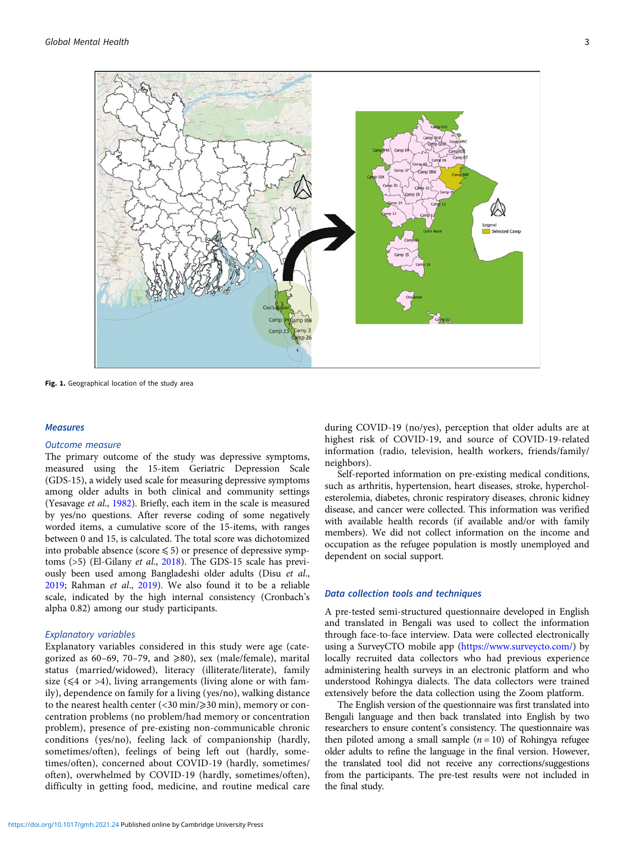<span id="page-2-0"></span>

Fig. 1. Geographical location of the study area

#### **Measures**

#### Outcome measure

The primary outcome of the study was depressive symptoms, measured using the 15-item Geriatric Depression Scale (GDS-15), a widely used scale for measuring depressive symptoms among older adults in both clinical and community settings (Yesavage et al., [1982\)](#page-8-0). Briefly, each item in the scale is measured by yes/no questions. After reverse coding of some negatively worded items, a cumulative score of the 15-items, with ranges between 0 and 15, is calculated. The total score was dichotomized into probable absence (score  $\leq 5$ ) or presence of depressive symptoms (>5) (El-Gilany et al., [2018\)](#page-7-0). The GDS-15 scale has previously been used among Bangladeshi older adults (Disu et al., [2019;](#page-7-0) Rahman et al., [2019](#page-8-0)). We also found it to be a reliable scale, indicated by the high internal consistency (Cronbach's alpha 0.82) among our study participants.

# Explanatory variables

Explanatory variables considered in this study were age (categorized as 60–69, 70–79, and  $\geq$ 80), sex (male/female), marital status (married/widowed), literacy (illiterate/literate), family size ( $\leq 4$  or >4), living arrangements (living alone or with family), dependence on family for a living (yes/no), walking distance to the nearest health center  $\left($  < 30 min/ $\geq$  30 min), memory or concentration problems (no problem/had memory or concentration problem), presence of pre-existing non-communicable chronic conditions (yes/no), feeling lack of companionship (hardly, sometimes/often), feelings of being left out (hardly, sometimes/often), concerned about COVID-19 (hardly, sometimes/ often), overwhelmed by COVID-19 (hardly, sometimes/often), difficulty in getting food, medicine, and routine medical care

during COVID-19 (no/yes), perception that older adults are at highest risk of COVID-19, and source of COVID-19-related information (radio, television, health workers, friends/family/ neighbors).

Self-reported information on pre-existing medical conditions, such as arthritis, hypertension, heart diseases, stroke, hypercholesterolemia, diabetes, chronic respiratory diseases, chronic kidney disease, and cancer were collected. This information was verified with available health records (if available and/or with family members). We did not collect information on the income and occupation as the refugee population is mostly unemployed and dependent on social support.

#### Data collection tools and techniques

A pre-tested semi-structured questionnaire developed in English and translated in Bengali was used to collect the information through face-to-face interview. Data were collected electronically using a SurveyCTO mobile app ([https://www.surveycto.com/\)](https://www.surveycto.com/) by locally recruited data collectors who had previous experience administering health surveys in an electronic platform and who understood Rohingya dialects. The data collectors were trained extensively before the data collection using the Zoom platform.

The English version of the questionnaire was first translated into Bengali language and then back translated into English by two researchers to ensure content's consistency. The questionnaire was then piloted among a small sample  $(n = 10)$  of Rohingya refugee older adults to refine the language in the final version. However, the translated tool did not receive any corrections/suggestions from the participants. The pre-test results were not included in the final study.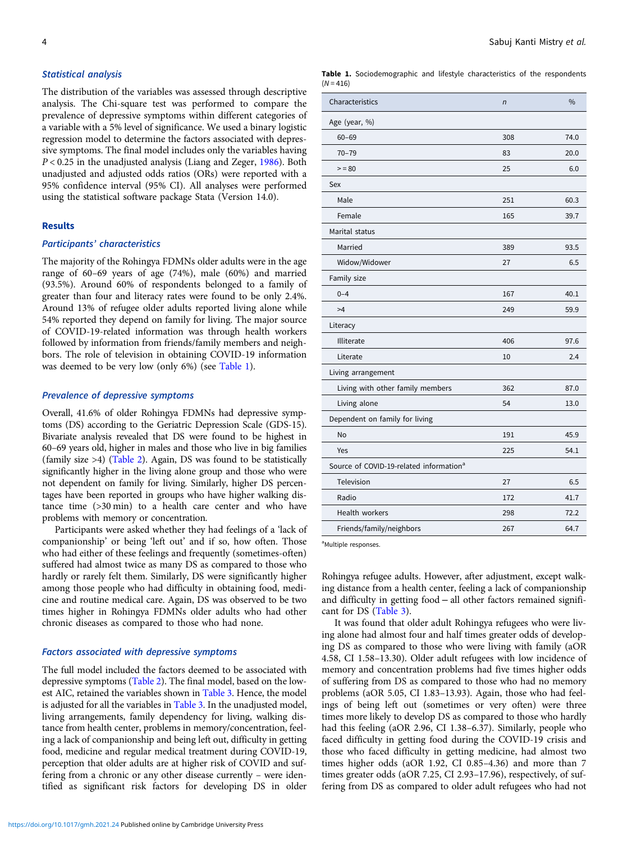# Statistical analysis

The distribution of the variables was assessed through descriptive analysis. The Chi-square test was performed to compare the prevalence of depressive symptoms within different categories of a variable with a 5% level of significance. We used a binary logistic regression model to determine the factors associated with depressive symptoms. The final model includes only the variables having  $P < 0.25$  in the unadjusted analysis (Liang and Zeger, [1986\)](#page-8-0). Both unadjusted and adjusted odds ratios (ORs) were reported with a 95% confidence interval (95% CI). All analyses were performed using the statistical software package Stata (Version 14.0).

### Results

## Participants' characteristics

The majority of the Rohingya FDMNs older adults were in the age range of 60–69 years of age (74%), male (60%) and married (93.5%). Around 60% of respondents belonged to a family of greater than four and literacy rates were found to be only 2.4%. Around 13% of refugee older adults reported living alone while 54% reported they depend on family for living. The major source of COVID-19-related information was through health workers followed by information from friends/family members and neighbors. The role of television in obtaining COVID-19 information was deemed to be very low (only 6%) (see Table 1).

## Prevalence of depressive symptoms

Overall, 41.6% of older Rohingya FDMNs had depressive symptoms (DS) according to the Geriatric Depression Scale (GDS-15). Bivariate analysis revealed that DS were found to be highest in 60–69 years old, higher in males and those who live in big families (family size >4) ([Table 2\)](#page-4-0). Again, DS was found to be statistically significantly higher in the living alone group and those who were not dependent on family for living. Similarly, higher DS percentages have been reported in groups who have higher walking distance time (>30 min) to a health care center and who have problems with memory or concentration.

Participants were asked whether they had feelings of a 'lack of companionship' or being 'left out' and if so, how often. Those who had either of these feelings and frequently (sometimes-often) suffered had almost twice as many DS as compared to those who hardly or rarely felt them. Similarly, DS were significantly higher among those people who had difficulty in obtaining food, medicine and routine medical care. Again, DS was observed to be two times higher in Rohingya FDMNs older adults who had other chronic diseases as compared to those who had none.

## Factors associated with depressive symptoms

The full model included the factors deemed to be associated with depressive symptoms [\(Table 2\)](#page-4-0). The final model, based on the lowest AIC, retained the variables shown in [Table 3.](#page-5-0) Hence, the model is adjusted for all the variables in [Table 3](#page-5-0). In the unadjusted model, living arrangements, family dependency for living, walking distance from health center, problems in memory/concentration, feeling a lack of companionship and being left out, difficulty in getting food, medicine and regular medical treatment during COVID-19, perception that older adults are at higher risk of COVID and suffering from a chronic or any other disease currently – were identified as significant risk factors for developing DS in older Table 1. Sociodemographic and lifestyle characteristics of the respondents  $(N = 416)$ 

| Characteristics                                     | $\sqrt{n}$ | $\frac{0}{0}$ |
|-----------------------------------------------------|------------|---------------|
| Age (year, %)                                       |            |               |
| $60 - 69$                                           | 308        | 74.0          |
| $70 - 79$                                           | 83         | 20.0          |
| $= 80$                                              | 25         | 6.0           |
| Sex                                                 |            |               |
| Male                                                | 251        | 60.3          |
| Female                                              | 165        | 39.7          |
| Marital status                                      |            |               |
| Married                                             | 389        | 93.5          |
| Widow/Widower                                       | 27         | 6.5           |
| Family size                                         |            |               |
| $0 - 4$                                             | 167        | 40.1          |
| >4                                                  | 249        | 59.9          |
| Literacy                                            |            |               |
| Illiterate                                          | 406        | 97.6          |
| Literate                                            | 10         | 2.4           |
| Living arrangement                                  |            |               |
| Living with other family members                    | 362        | 87.0          |
| Living alone                                        | 54         | 13.0          |
| Dependent on family for living                      |            |               |
| No                                                  | 191        | 45.9          |
| Yes                                                 | 225        | 54.1          |
| Source of COVID-19-related information <sup>a</sup> |            |               |
| Television                                          | 27         | 6.5           |
| Radio                                               | 172        | 41.7          |
| Health workers                                      | 298        | 72.2          |
| Friends/family/neighbors                            | 267        | 64.7          |

<sup>a</sup>Multiple responses.

Rohingya refugee adults. However, after adjustment, except walking distance from a health center, feeling a lack of companionship and difficulty in getting food − all other factors remained significant for DS [\(Table 3\)](#page-5-0).

It was found that older adult Rohingya refugees who were living alone had almost four and half times greater odds of developing DS as compared to those who were living with family (aOR 4.58, CI 1.58–13.30). Older adult refugees with low incidence of memory and concentration problems had five times higher odds of suffering from DS as compared to those who had no memory problems (aOR 5.05, CI 1.83–13.93). Again, those who had feelings of being left out (sometimes or very often) were three times more likely to develop DS as compared to those who hardly had this feeling (aOR 2.96, CI 1.38–6.37). Similarly, people who faced difficulty in getting food during the COVID-19 crisis and those who faced difficulty in getting medicine, had almost two times higher odds (aOR 1.92, CI 0.85–4.36) and more than 7 times greater odds (aOR 7.25, CI 2.93–17.96), respectively, of suffering from DS as compared to older adult refugees who had not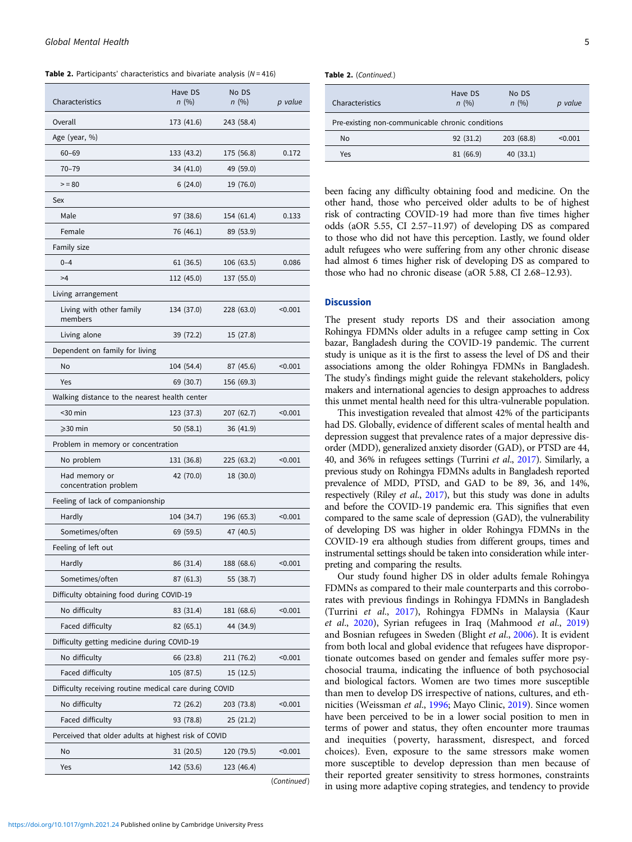<span id="page-4-0"></span>

| Characteristics                                        | Have DS<br>n(%) | No DS<br>n(%) | p value |  |  |  |
|--------------------------------------------------------|-----------------|---------------|---------|--|--|--|
| Overall                                                | 173 (41.6)      | 243 (58.4)    |         |  |  |  |
| Age (year, %)                                          |                 |               |         |  |  |  |
| $60 - 69$                                              | 133 (43.2)      | 175 (56.8)    | 0.172   |  |  |  |
| $70 - 79$                                              | 34 (41.0)       | 49 (59.0)     |         |  |  |  |
| $>= 80$                                                | 6(24.0)         | 19 (76.0)     |         |  |  |  |
| Sex                                                    |                 |               |         |  |  |  |
| Male                                                   | 97 (38.6)       | 154 (61.4)    | 0.133   |  |  |  |
| Female                                                 | 76 (46.1)       | 89 (53.9)     |         |  |  |  |
| Family size                                            |                 |               |         |  |  |  |
| $0 - 4$                                                | 61 (36.5)       | 106 (63.5)    | 0.086   |  |  |  |
| >4                                                     | 112 (45.0)      | 137 (55.0)    |         |  |  |  |
| Living arrangement                                     |                 |               |         |  |  |  |
| Living with other family<br>members                    | 134 (37.0)      | 228 (63.0)    | < 0.001 |  |  |  |
| Living alone                                           | 39 (72.2)       | 15 (27.8)     |         |  |  |  |
| Dependent on family for living                         |                 |               |         |  |  |  |
| No                                                     | 104 (54.4)      | 87 (45.6)     | < 0.001 |  |  |  |
| Yes                                                    | 69 (30.7)       | 156 (69.3)    |         |  |  |  |
| Walking distance to the nearest health center          |                 |               |         |  |  |  |
| $<$ 30 min                                             | 123 (37.3)      | 207 (62.7)    | < 0.001 |  |  |  |
| $\geqslant$ 30 min                                     | 50(58.1)        | 36 (41.9)     |         |  |  |  |
| Problem in memory or concentration                     |                 |               |         |  |  |  |
| No problem                                             | 131 (36.8)      | 225 (63.2)    | < 0.001 |  |  |  |
| Had memory or<br>concentration problem                 | 42 (70.0)       | 18 (30.0)     |         |  |  |  |
| Feeling of lack of companionship                       |                 |               |         |  |  |  |
| Hardly                                                 | 104 (34.7)      | 196 (65.3)    | < 0.001 |  |  |  |
| Sometimes/often                                        | 69 (59.5)       | 47 (40.5)     |         |  |  |  |
| Feeling of left out                                    |                 |               |         |  |  |  |
| Hardly                                                 | 86 (31.4)       | 188 (68.6)    | < 0.001 |  |  |  |
| Sometimes/often                                        | 87 (61.3)       | 55 (38.7)     |         |  |  |  |
| Difficulty obtaining food during COVID-19              |                 |               |         |  |  |  |
| No difficulty                                          | 83 (31.4)       | 181 (68.6)    | < 0.001 |  |  |  |
| Faced difficulty                                       | 82 (65.1)       | 44 (34.9)     |         |  |  |  |
| Difficulty getting medicine during COVID-19            |                 |               |         |  |  |  |
| No difficulty                                          | 66 (23.8)       | 211 (76.2)    | < 0.001 |  |  |  |
| Faced difficulty                                       | 105 (87.5)      | 15 (12.5)     |         |  |  |  |
| Difficulty receiving routine medical care during COVID |                 |               |         |  |  |  |
| No difficulty                                          | 72 (26.2)       | 203 (73.8)    | < 0.001 |  |  |  |
| Faced difficulty                                       | 93 (78.8)       | 25(21.2)      |         |  |  |  |
| Perceived that older adults at highest risk of COVID   |                 |               |         |  |  |  |
| No                                                     | 31(20.5)        | 120 (79.5)    | < 0.001 |  |  |  |
| Yes                                                    | 142 (53.6)      | 123 (46.4)    |         |  |  |  |
|                                                        |                 |               |         |  |  |  |

(Continued)

| Table 2. (Continued.) |  |
|-----------------------|--|
|-----------------------|--|

| Characteristics                                  | Have DS<br>n(%) | No DS<br>n(%) | p value |  |
|--------------------------------------------------|-----------------|---------------|---------|--|
| Pre-existing non-communicable chronic conditions |                 |               |         |  |
| No                                               | 92 (31.2)       | 203 (68.8)    | < 0.001 |  |
| Yes                                              | 81 (66.9)       | 40(33.1)      |         |  |
|                                                  |                 |               |         |  |

been facing any difficulty obtaining food and medicine. On the other hand, those who perceived older adults to be of highest risk of contracting COVID-19 had more than five times higher odds (aOR 5.55, CI 2.57–11.97) of developing DS as compared to those who did not have this perception. Lastly, we found older adult refugees who were suffering from any other chronic disease had almost 6 times higher risk of developing DS as compared to those who had no chronic disease (aOR 5.88, CI 2.68–12.93).

#### **Discussion**

The present study reports DS and their association among Rohingya FDMNs older adults in a refugee camp setting in Cox bazar, Bangladesh during the COVID-19 pandemic. The current study is unique as it is the first to assess the level of DS and their associations among the older Rohingya FDMNs in Bangladesh. The study's findings might guide the relevant stakeholders, policy makers and international agencies to design approaches to address this unmet mental health need for this ultra-vulnerable population.

This investigation revealed that almost 42% of the participants had DS. Globally, evidence of different scales of mental health and depression suggest that prevalence rates of a major depressive disorder (MDD), generalized anxiety disorder (GAD), or PTSD are 44, 40, and 36% in refugees settings (Turrini et al., [2017](#page-8-0)). Similarly, a previous study on Rohingya FDMNs adults in Bangladesh reported prevalence of MDD, PTSD, and GAD to be 89, 36, and 14%, respectively (Riley et al., [2017\)](#page-8-0), but this study was done in adults and before the COVID-19 pandemic era. This signifies that even compared to the same scale of depression (GAD), the vulnerability of developing DS was higher in older Rohingya FDMNs in the COVID-19 era although studies from different groups, times and instrumental settings should be taken into consideration while interpreting and comparing the results.

Our study found higher DS in older adults female Rohingya FDMNs as compared to their male counterparts and this corroborates with previous findings in Rohingya FDMNs in Bangladesh (Turrini et al., [2017\)](#page-8-0), Rohingya FDMNs in Malaysia (Kaur et al., [2020\)](#page-7-0), Syrian refugees in Iraq (Mahmood et al., [2019](#page-8-0)) and Bosnian refugees in Sweden (Blight et al., [2006](#page-7-0)). It is evident from both local and global evidence that refugees have disproportionate outcomes based on gender and females suffer more psychosocial trauma, indicating the influence of both psychosocial and biological factors. Women are two times more susceptible than men to develop DS irrespective of nations, cultures, and ethnicities (Weissman et al., [1996](#page-8-0); Mayo Clinic, [2019\)](#page-8-0). Since women have been perceived to be in a lower social position to men in terms of power and status, they often encounter more traumas and inequities (poverty, harassment, disrespect, and forced choices). Even, exposure to the same stressors make women more susceptible to develop depression than men because of their reported greater sensitivity to stress hormones, constraints in using more adaptive coping strategies, and tendency to provide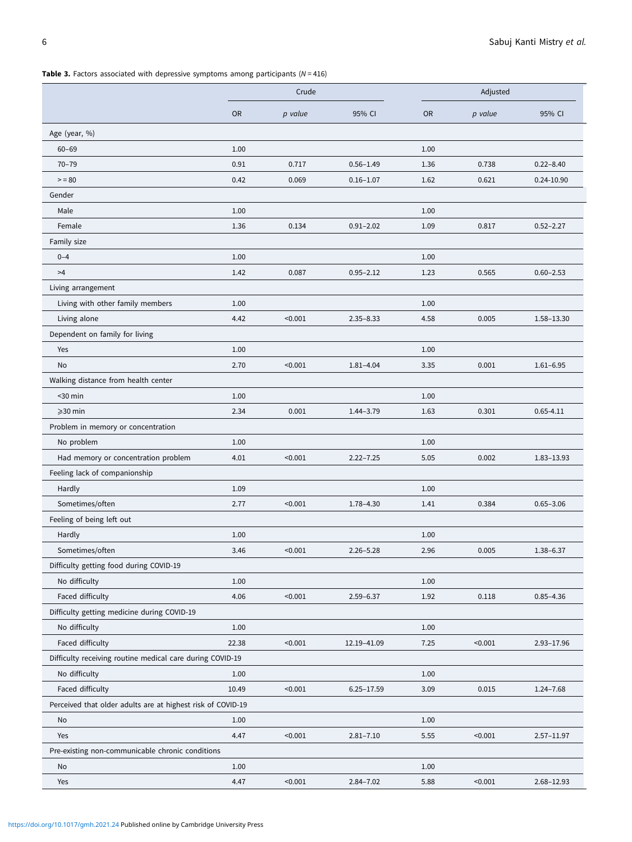<span id="page-5-0"></span>Table 3. Factors associated with depressive symptoms among participants  $(N = 416)$ 

|                                                             |           | Crude   |                |           | Adjusted |                |  |
|-------------------------------------------------------------|-----------|---------|----------------|-----------|----------|----------------|--|
|                                                             | <b>OR</b> | p value | 95% CI         | <b>OR</b> | p value  | 95% CI         |  |
| Age (year, %)                                               |           |         |                |           |          |                |  |
| $60 - 69$                                                   | 1.00      |         |                | 1.00      |          |                |  |
| $70 - 79$                                                   | 0.91      | 0.717   | $0.56 - 1.49$  | 1.36      | 0.738    | $0.22 - 8.40$  |  |
| $>= 80$                                                     | 0.42      | 0.069   | $0.16 - 1.07$  | 1.62      | 0.621    | 0.24-10.90     |  |
| Gender                                                      |           |         |                |           |          |                |  |
| Male                                                        | 1.00      |         |                | 1.00      |          |                |  |
| Female                                                      | 1.36      | 0.134   | $0.91 - 2.02$  | 1.09      | 0.817    | $0.52 - 2.27$  |  |
| Family size                                                 |           |         |                |           |          |                |  |
| $0 - 4$                                                     | 1.00      |         |                | 1.00      |          |                |  |
| >4                                                          | 1.42      | 0.087   | $0.95 - 2.12$  | 1.23      | 0.565    | $0.60 - 2.53$  |  |
| Living arrangement                                          |           |         |                |           |          |                |  |
| Living with other family members                            | 1.00      |         |                | 1.00      |          |                |  |
| Living alone                                                | 4.42      | < 0.001 | $2.35 - 8.33$  | 4.58      | 0.005    | 1.58-13.30     |  |
| Dependent on family for living                              |           |         |                |           |          |                |  |
| Yes                                                         | 1.00      |         |                | 1.00      |          |                |  |
| <b>No</b>                                                   | 2.70      | < 0.001 | $1.81 - 4.04$  | 3.35      | 0.001    | $1.61 - 6.95$  |  |
| Walking distance from health center                         |           |         |                |           |          |                |  |
| $30 min$                                                    | 1.00      |         |                | 1.00      |          |                |  |
| $\geqslant$ 30 min                                          | 2.34      | 0.001   | $1.44 - 3.79$  | 1.63      | 0.301    | $0.65 - 4.11$  |  |
| Problem in memory or concentration                          |           |         |                |           |          |                |  |
| No problem                                                  | 1.00      |         |                | 1.00      |          |                |  |
| Had memory or concentration problem                         | 4.01      | < 0.001 | $2.22 - 7.25$  | 5.05      | 0.002    | 1.83-13.93     |  |
| Feeling lack of companionship                               |           |         |                |           |          |                |  |
| Hardly                                                      | 1.09      |         |                | 1.00      |          |                |  |
| Sometimes/often                                             | 2.77      | < 0.001 | 1.78-4.30      | 1.41      | 0.384    | $0.65 - 3.06$  |  |
| Feeling of being left out                                   |           |         |                |           |          |                |  |
| Hardly                                                      | 1.00      |         |                | 1.00      |          |                |  |
| Sometimes/often                                             | 3.46      | < 0.001 | $2.26 - 5.28$  | 2.96      | 0.005    | $1.38 - 6.37$  |  |
| Difficulty getting food during COVID-19                     |           |         |                |           |          |                |  |
| No difficulty                                               | 1.00      |         |                | 1.00      |          |                |  |
| Faced difficulty                                            | 4.06      | < 0.001 | $2.59 - 6.37$  | 1.92      | 0.118    | $0.85 - 4.36$  |  |
| Difficulty getting medicine during COVID-19                 |           |         |                |           |          |                |  |
| No difficulty                                               | 1.00      |         |                | 1.00      |          |                |  |
| Faced difficulty                                            | 22.38     | < 0.001 | 12.19-41.09    | 7.25      | < 0.001  | 2.93-17.96     |  |
| Difficulty receiving routine medical care during COVID-19   |           |         |                |           |          |                |  |
| No difficulty                                               | 1.00      |         |                | 1.00      |          |                |  |
| Faced difficulty                                            | 10.49     | < 0.001 | $6.25 - 17.59$ | 3.09      | 0.015    | 1.24-7.68      |  |
| Perceived that older adults are at highest risk of COVID-19 |           |         |                |           |          |                |  |
| No                                                          | 1.00      |         |                | 1.00      |          |                |  |
| Yes                                                         | 4.47      | < 0.001 | $2.81 - 7.10$  | 5.55      | < 0.001  | $2.57 - 11.97$ |  |
| Pre-existing non-communicable chronic conditions            |           |         |                |           |          |                |  |
| No                                                          | 1.00      |         |                | 1.00      |          |                |  |
| Yes                                                         | 4.47      | < 0.001 | $2.84 - 7.02$  | 5.88      | < 0.001  | 2.68-12.93     |  |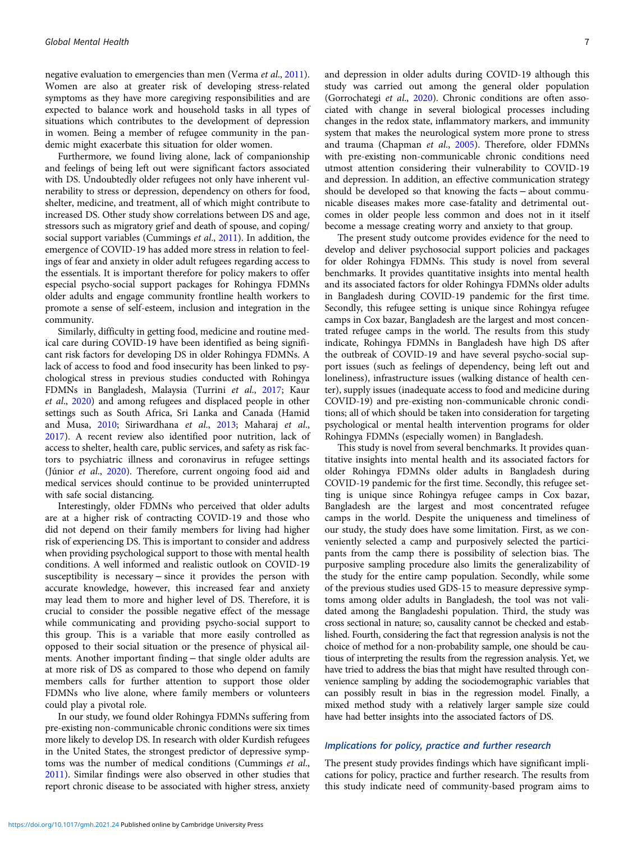negative evaluation to emergencies than men (Verma et al., [2011\)](#page-8-0). Women are also at greater risk of developing stress-related symptoms as they have more caregiving responsibilities and are expected to balance work and household tasks in all types of situations which contributes to the development of depression in women. Being a member of refugee community in the pandemic might exacerbate this situation for older women.

Furthermore, we found living alone, lack of companionship and feelings of being left out were significant factors associated with DS. Undoubtedly older refugees not only have inherent vulnerability to stress or depression, dependency on others for food, shelter, medicine, and treatment, all of which might contribute to increased DS. Other study show correlations between DS and age, stressors such as migratory grief and death of spouse, and coping/ social support variables (Cummings et al., [2011](#page-7-0)). In addition, the emergence of COVID-19 has added more stress in relation to feelings of fear and anxiety in older adult refugees regarding access to the essentials. It is important therefore for policy makers to offer especial psycho-social support packages for Rohingya FDMNs older adults and engage community frontline health workers to promote a sense of self-esteem, inclusion and integration in the community.

Similarly, difficulty in getting food, medicine and routine medical care during COVID-19 have been identified as being significant risk factors for developing DS in older Rohingya FDMNs. A lack of access to food and food insecurity has been linked to psychological stress in previous studies conducted with Rohingya FDMNs in Bangladesh, Malaysia (Turrini et al., [2017](#page-8-0); Kaur et al., [2020\)](#page-7-0) and among refugees and displaced people in other settings such as South Africa, Sri Lanka and Canada (Hamid and Musa, [2010](#page-7-0); Siriwardhana et al., [2013](#page-8-0); Maharaj et al., [2017\)](#page-8-0). A recent review also identified poor nutrition, lack of access to shelter, health care, public services, and safety as risk factors to psychiatric illness and coronavirus in refugee settings (Júnior et al., [2020\)](#page-7-0). Therefore, current ongoing food aid and medical services should continue to be provided uninterrupted with safe social distancing.

Interestingly, older FDMNs who perceived that older adults are at a higher risk of contracting COVID-19 and those who did not depend on their family members for living had higher risk of experiencing DS. This is important to consider and address when providing psychological support to those with mental health conditions. A well informed and realistic outlook on COVID-19 susceptibility is necessary – since it provides the person with accurate knowledge, however, this increased fear and anxiety may lead them to more and higher level of DS. Therefore, it is crucial to consider the possible negative effect of the message while communicating and providing psycho-social support to this group. This is a variable that more easily controlled as opposed to their social situation or the presence of physical ailments. Another important finding − that single older adults are at more risk of DS as compared to those who depend on family members calls for further attention to support those older FDMNs who live alone, where family members or volunteers could play a pivotal role.

In our study, we found older Rohingya FDMNs suffering from pre-existing non-communicable chronic conditions were six times more likely to develop DS. In research with older Kurdish refugees in the United States, the strongest predictor of depressive symptoms was the number of medical conditions (Cummings et al., [2011\)](#page-7-0). Similar findings were also observed in other studies that report chronic disease to be associated with higher stress, anxiety and depression in older adults during COVID-19 although this study was carried out among the general older population (Gorrochategi et al., [2020\)](#page-7-0). Chronic conditions are often associated with change in several biological processes including changes in the redox state, inflammatory markers, and immunity system that makes the neurological system more prone to stress and trauma (Chapman et al., [2005](#page-7-0)). Therefore, older FDMNs with pre-existing non-communicable chronic conditions need utmost attention considering their vulnerability to COVID-19 and depression. In addition, an effective communication strategy should be developed so that knowing the facts − about communicable diseases makes more case-fatality and detrimental outcomes in older people less common and does not in it itself become a message creating worry and anxiety to that group.

The present study outcome provides evidence for the need to develop and deliver psychosocial support policies and packages for older Rohingya FDMNs. This study is novel from several benchmarks. It provides quantitative insights into mental health and its associated factors for older Rohingya FDMNs older adults in Bangladesh during COVID-19 pandemic for the first time. Secondly, this refugee setting is unique since Rohingya refugee camps in Cox bazar, Bangladesh are the largest and most concentrated refugee camps in the world. The results from this study indicate, Rohingya FDMNs in Bangladesh have high DS after the outbreak of COVID-19 and have several psycho-social support issues (such as feelings of dependency, being left out and loneliness), infrastructure issues (walking distance of health center), supply issues (inadequate access to food and medicine during COVID-19) and pre-existing non-communicable chronic conditions; all of which should be taken into consideration for targeting psychological or mental health intervention programs for older Rohingya FDMNs (especially women) in Bangladesh.

This study is novel from several benchmarks. It provides quantitative insights into mental health and its associated factors for older Rohingya FDMNs older adults in Bangladesh during COVID-19 pandemic for the first time. Secondly, this refugee setting is unique since Rohingya refugee camps in Cox bazar, Bangladesh are the largest and most concentrated refugee camps in the world. Despite the uniqueness and timeliness of our study, the study does have some limitation. First, as we conveniently selected a camp and purposively selected the participants from the camp there is possibility of selection bias. The purposive sampling procedure also limits the generalizability of the study for the entire camp population. Secondly, while some of the previous studies used GDS-15 to measure depressive symptoms among older adults in Bangladesh, the tool was not validated among the Bangladeshi population. Third, the study was cross sectional in nature; so, causality cannot be checked and established. Fourth, considering the fact that regression analysis is not the choice of method for a non-probability sample, one should be cautious of interpreting the results from the regression analysis. Yet, we have tried to address the bias that might have resulted through convenience sampling by adding the sociodemographic variables that can possibly result in bias in the regression model. Finally, a mixed method study with a relatively larger sample size could have had better insights into the associated factors of DS.

## Implications for policy, practice and further research

The present study provides findings which have significant implications for policy, practice and further research. The results from this study indicate need of community-based program aims to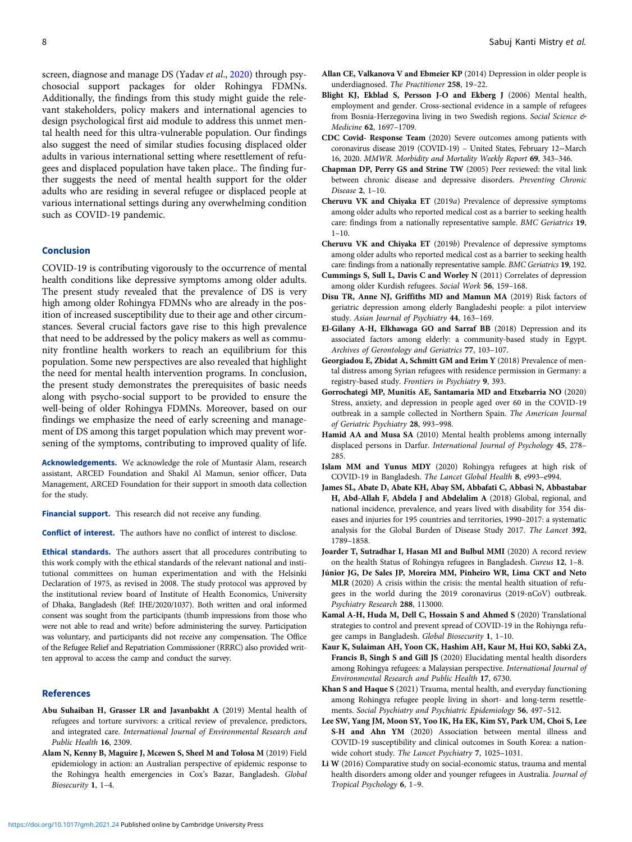<span id="page-7-0"></span>screen, diagnose and manage DS (Yadav et al., [2020\)](#page-8-0) through psychosocial support packages for older Rohingya FDMNs. Additionally, the findings from this study might guide the relevant stakeholders, policy makers and international agencies to design psychological first aid module to address this unmet mental health need for this ultra-vulnerable population. Our findings also suggest the need of similar studies focusing displaced older adults in various international setting where resettlement of refugees and displaced population have taken place.. The finding further suggests the need of mental health support for the older adults who are residing in several refugee or displaced people at various international settings during any overwhelming condition such as COVID-19 pandemic.

# Conclusion

COVID-19 is contributing vigorously to the occurrence of mental health conditions like depressive symptoms among older adults. The present study revealed that the prevalence of DS is very high among older Rohingya FDMNs who are already in the position of increased susceptibility due to their age and other circumstances. Several crucial factors gave rise to this high prevalence that need to be addressed by the policy makers as well as community frontline health workers to reach an equilibrium for this population. Some new perspectives are also revealed that highlight the need for mental health intervention programs. In conclusion, the present study demonstrates the prerequisites of basic needs along with psycho-social support to be provided to ensure the well-being of older Rohingya FDMNs. Moreover, based on our findings we emphasize the need of early screening and management of DS among this target population which may prevent worsening of the symptoms, contributing to improved quality of life.

Acknowledgements. We acknowledge the role of Muntasir Alam, research assistant, ARCED Foundation and Shakil Al Mamun, senior officer, Data Management, ARCED Foundation for their support in smooth data collection for the study.

Financial support. This research did not receive any funding.

Conflict of interest. The authors have no conflict of interest to disclose.

Ethical standards. The authors assert that all procedures contributing to this work comply with the ethical standards of the relevant national and institutional committees on human experimentation and with the Helsinki Declaration of 1975, as revised in 2008. The study protocol was approved by the institutional review board of Institute of Health Economics, University of Dhaka, Bangladesh (Ref: IHE/2020/1037). Both written and oral informed consent was sought from the participants (thumb impressions from those who were not able to read and write) before administering the survey. Participation was voluntary, and participants did not receive any compensation. The Office of the Refugee Relief and Repatriation Commissioner (RRRC) also provided written approval to access the camp and conduct the survey.

#### References

- Abu Suhaiban H, Grasser LR and Javanbakht A (2019) Mental health of refugees and torture survivors: a critical review of prevalence, predictors, and integrated care. International Journal of Environmental Research and Public Health 16, 2309.
- Alam N, Kenny B, Maguire J, Mcewen S, Sheel M and Tolosa M (2019) Field epidemiology in action: an Australian perspective of epidemic response to the Rohingya health emergencies in Cox's Bazar, Bangladesh. Global Biosecurity 1, 1–4.
- Allan CE, Valkanova V and Ebmeier KP (2014) Depression in older people is underdiagnosed. The Practitioner 258, 19–22.
- Blight KJ, Ekblad S, Persson J-O and Ekberg J (2006) Mental health, employment and gender. Cross-sectional evidence in a sample of refugees from Bosnia-Herzegovina living in two Swedish regions. Social Science & Medicine 62, 1697–1709.
- CDC Covid- Response Team (2020) Severe outcomes among patients with coronavirus disease 2019 (COVID-19) – United States, February 12−March 16, 2020. MMWR. Morbidity and Mortality Weekly Report 69, 343–346.
- Chapman DP, Perry GS and Strine TW (2005) Peer reviewed: the vital link between chronic disease and depressive disorders. Preventing Chronic Disease 2, 1–10.
- Cheruvu VK and Chiyaka ET (2019a) Prevalence of depressive symptoms among older adults who reported medical cost as a barrier to seeking health care: findings from a nationally representative sample. BMC Geriatrics 19,  $1 - 10$ .
- Cheruvu VK and Chiyaka ET (2019b) Prevalence of depressive symptoms among older adults who reported medical cost as a barrier to seeking health care: findings from a nationally representative sample. BMC Geriatrics 19, 192.
- Cummings S, Sull L, Davis C and Worley N (2011) Correlates of depression among older Kurdish refugees. Social Work 56, 159–168.
- Disu TR, Anne NJ, Griffiths MD and Mamun MA (2019) Risk factors of geriatric depression among elderly Bangladeshi people: a pilot interview study. Asian Journal of Psychiatry 44, 163–169.
- El-Gilany A-H, Elkhawaga GO and Sarraf BB (2018) Depression and its associated factors among elderly: a community-based study in Egypt. Archives of Gerontology and Geriatrics 77, 103–107.
- Georgiadou E, Zbidat A, Schmitt GM and Erim Y (2018) Prevalence of mental distress among Syrian refugees with residence permission in Germany: a registry-based study. Frontiers in Psychiatry 9, 393.
- Gorrochategi MP, Munitis AE, Santamaria MD and Etxebarria NO (2020) Stress, anxiety, and depression in people aged over 60 in the COVID-19 outbreak in a sample collected in Northern Spain. The American Journal of Geriatric Psychiatry 28, 993–998.
- Hamid AA and Musa SA (2010) Mental health problems among internally displaced persons in Darfur. International Journal of Psychology 45, 278– 285.
- Islam MM and Yunus MDY (2020) Rohingya refugees at high risk of COVID-19 in Bangladesh. The Lancet Global Health 8, e993–e994.
- James SL, Abate D, Abate KH, Abay SM, Abbafati C, Abbasi N, Abbastabar H, Abd-Allah F, Abdela J and Abdelalim A (2018) Global, regional, and national incidence, prevalence, and years lived with disability for 354 diseases and injuries for 195 countries and territories, 1990–2017: a systematic analysis for the Global Burden of Disease Study 2017. The Lancet 392, 1789–1858.
- Joarder T, Sutradhar I, Hasan MI and Bulbul MMI (2020) A record review on the health Status of Rohingya refugees in Bangladesh. Cureus 12, 1–8.
- Júnior JG, De Sales JP, Moreira MM, Pinheiro WR, Lima CKT and Neto MLR (2020) A crisis within the crisis: the mental health situation of refugees in the world during the 2019 coronavirus (2019-nCoV) outbreak. Psychiatry Research 288, 113000.
- Kamal A-H, Huda M, Dell C, Hossain S and Ahmed S (2020) Translational strategies to control and prevent spread of COVID-19 in the Rohiynga refugee camps in Bangladesh. Global Biosecurity 1, 1–10.
- Kaur K, Sulaiman AH, Yoon CK, Hashim AH, Kaur M, Hui KO, Sabki ZA, Francis B, Singh S and Gill JS (2020) Elucidating mental health disorders among Rohingya refugees: a Malaysian perspective. International Journal of Environmental Research and Public Health 17, 6730.
- Khan S and Haque S (2021) Trauma, mental health, and everyday functioning among Rohingya refugee people living in short- and long-term resettlements. Social Psychiatry and Psychiatric Epidemiology 56, 497–512.
- Lee SW, Yang JM, Moon SY, Yoo IK, Ha EK, Kim SY, Park UM, Choi S, Lee S-H and Ahn YM (2020) Association between mental illness and COVID-19 susceptibility and clinical outcomes in South Korea: a nationwide cohort study. The Lancet Psychiatry 7, 1025–1031.
- Li W (2016) Comparative study on social-economic status, trauma and mental health disorders among older and younger refugees in Australia. Journal of Tropical Psychology 6, 1–9.